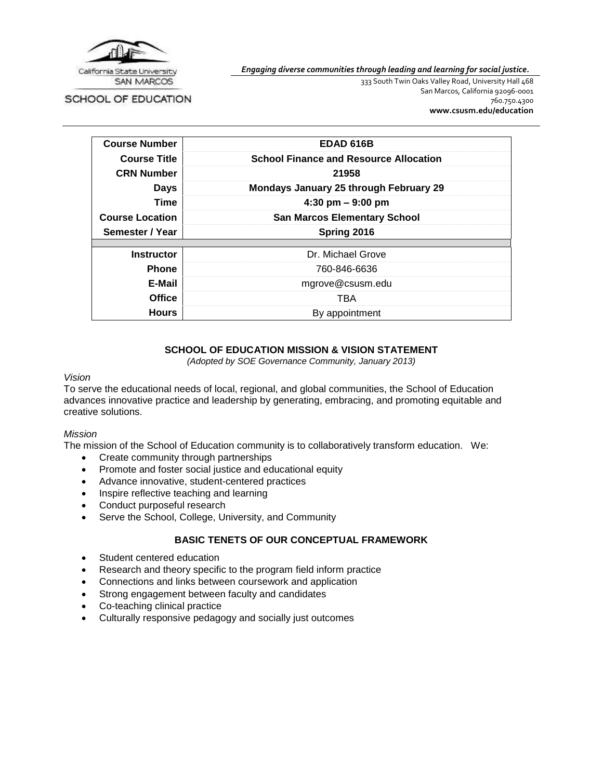

*Engaging diverse communities through leading and learning for social justice.*

SCHOOL OF EDUCATION

333 South Twin Oaks Valley Road, University Hall 468 San Marcos, California 92096-0001 760.750.4300 **[www.csusm.edu/education](http://www.csusm.edu/education)**

| <b>Course Number</b>   | <b>EDAD 616B</b>                              |
|------------------------|-----------------------------------------------|
| <b>Course Title</b>    | <b>School Finance and Resource Allocation</b> |
| <b>CRN Number</b>      | 21958                                         |
| <b>Days</b>            | <b>Mondays January 25 through February 29</b> |
| Time                   | 4:30 pm $-9:00$ pm                            |
| <b>Course Location</b> | <b>San Marcos Elementary School</b>           |
| Semester / Year        | Spring 2016                                   |
| <b>Instructor</b>      | Dr. Michael Grove                             |
| <b>Phone</b>           | 760-846-6636                                  |
| E-Mail                 | mgrove@csusm.edu                              |
| <b>Office</b>          | TBA                                           |
| <b>Hours</b>           | By appointment                                |

### **SCHOOL OF EDUCATION MISSION & VISION STATEMENT**

*(Adopted by SOE Governance Community, January 2013)*

#### *Vision*

To serve the educational needs of local, regional, and global communities, the School of Education advances innovative practice and leadership by generating, embracing, and promoting equitable and creative solutions.

#### *Mission*

The mission of the School of Education community is to collaboratively transform education. We:

- Create community through partnerships
- Promote and foster social justice and educational equity
- Advance innovative, student-centered practices
- Inspire reflective teaching and learning
- Conduct purposeful research
- Serve the School, College, University, and Community

### **BASIC TENETS OF OUR CONCEPTUAL FRAMEWORK**

- Student centered education
- Research and theory specific to the program field inform practice
- Connections and links between coursework and application
- Strong engagement between faculty and candidates
- Co-teaching clinical practice
- Culturally responsive pedagogy and socially just outcomes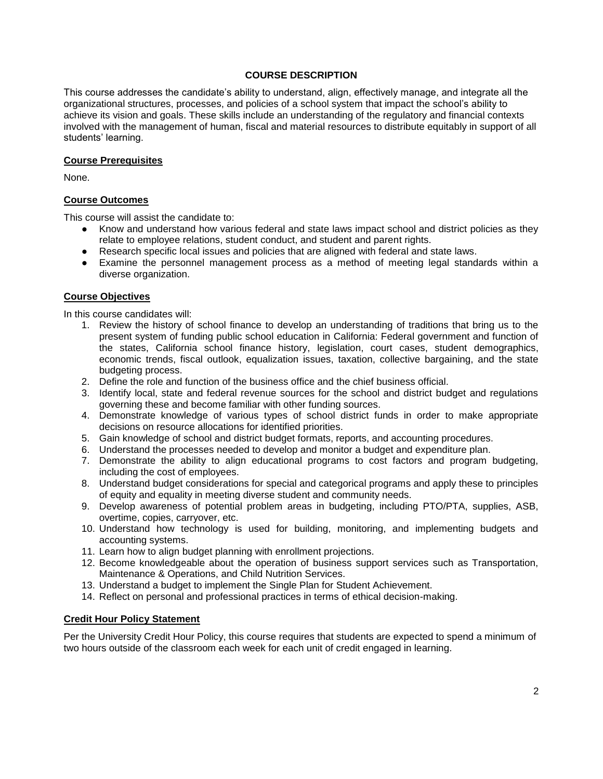# **COURSE DESCRIPTION**

This course addresses the candidate's ability to understand, align, effectively manage, and integrate all the organizational structures, processes, and policies of a school system that impact the school's ability to achieve its vision and goals. These skills include an understanding of the regulatory and financial contexts involved with the management of human, fiscal and material resources to distribute equitably in support of all students' learning.

### **Course Prerequisites**

None.

### **Course Outcomes**

This course will assist the candidate to:

- Know and understand how various federal and state laws impact school and district policies as they relate to employee relations, student conduct, and student and parent rights.
- Research specific local issues and policies that are aligned with federal and state laws.
- Examine the personnel management process as a method of meeting legal standards within a diverse organization.

### **Course Objectives**

In this course candidates will:

- 1. Review the history of school finance to develop an understanding of traditions that bring us to the present system of funding public school education in California: Federal government and function of the states, California school finance history, legislation, court cases, student demographics, economic trends, fiscal outlook, equalization issues, taxation, collective bargaining, and the state budgeting process.
- 2. Define the role and function of the business office and the chief business official.
- 3. Identify local, state and federal revenue sources for the school and district budget and regulations governing these and become familiar with other funding sources.
- 4. Demonstrate knowledge of various types of school district funds in order to make appropriate decisions on resource allocations for identified priorities.
- 5. Gain knowledge of school and district budget formats, reports, and accounting procedures.
- 6. Understand the processes needed to develop and monitor a budget and expenditure plan.
- 7. Demonstrate the ability to align educational programs to cost factors and program budgeting, including the cost of employees.
- 8. Understand budget considerations for special and categorical programs and apply these to principles of equity and equality in meeting diverse student and community needs.
- 9. Develop awareness of potential problem areas in budgeting, including PTO/PTA, supplies, ASB, overtime, copies, carryover, etc.
- 10. Understand how technology is used for building, monitoring, and implementing budgets and accounting systems.
- 11. Learn how to align budget planning with enrollment projections.
- 12. Become knowledgeable about the operation of business support services such as Transportation, Maintenance & Operations, and Child Nutrition Services.
- 13. Understand a budget to implement the Single Plan for Student Achievement.
- 14. Reflect on personal and professional practices in terms of ethical decision-making.

### **Credit Hour Policy Statement**

Per the University Credit Hour Policy, this course requires that students are expected to spend a minimum of two hours outside of the classroom each week for each unit of credit engaged in learning.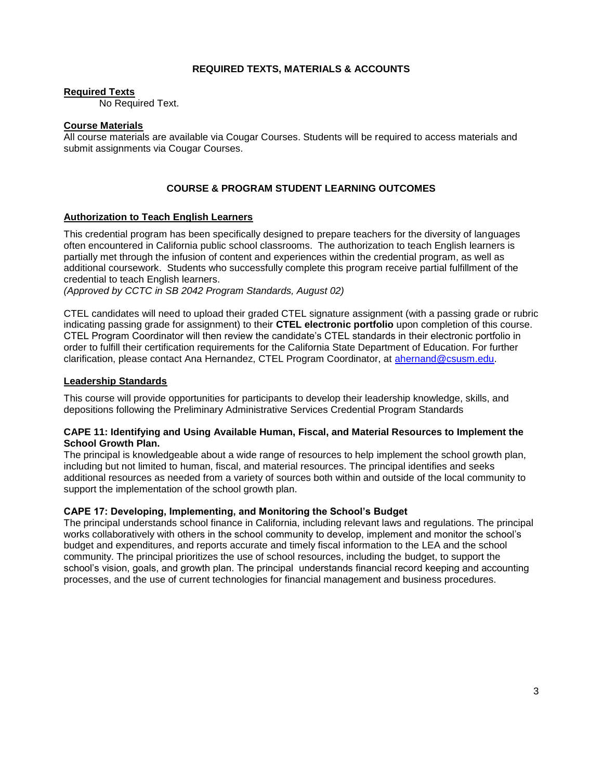# **REQUIRED TEXTS, MATERIALS & ACCOUNTS**

# **Required Texts**

No Required Text.

### **Course Materials**

All course materials are available via Cougar Courses. Students will be required to access materials and submit assignments via Cougar Courses.

# **COURSE & PROGRAM STUDENT LEARNING OUTCOMES**

# **Authorization to Teach English Learners**

This credential program has been specifically designed to prepare teachers for the diversity of languages often encountered in California public school classrooms. The authorization to teach English learners is partially met through the infusion of content and experiences within the credential program, as well as additional coursework. Students who successfully complete this program receive partial fulfillment of the credential to teach English learners.

*(Approved by CCTC in SB 2042 Program Standards, August 02)*

CTEL candidates will need to upload their graded CTEL signature assignment (with a passing grade or rubric indicating passing grade for assignment) to their **CTEL electronic portfolio** upon completion of this course. CTEL Program Coordinator will then review the candidate's CTEL standards in their electronic portfolio in order to fulfill their certification requirements for the California State Department of Education. For further clarification, please contact Ana Hernandez, CTEL Program Coordinator, at [ahernand@csusm.edu.](https://bl2prd0511.outlook.com/owa/redir.aspx?C=AW7hZ-DBL0G6FPgB8G8Eri3bAwuccNAIwYI81VgsrzvmHC5AEo6nGJNyvZWC7aqWfxtUgiTx_9k.&URL=mailto%3aahernand%40csusm.edu)

### **Leadership Standards**

This course will provide opportunities for participants to develop their leadership knowledge, skills, and depositions following the Preliminary Administrative Services Credential Program Standards

### **CAPE 11: Identifying and Using Available Human, Fiscal, and Material Resources to Implement the School Growth Plan.**

The principal is knowledgeable about a wide range of resources to help implement the school growth plan, including but not limited to human, fiscal, and material resources. The principal identifies and seeks additional resources as needed from a variety of sources both within and outside of the local community to support the implementation of the school growth plan.

# **CAPE 17: Developing, Implementing, and Monitoring the School's Budget**

The principal understands school finance in California, including relevant laws and regulations. The principal works collaboratively with others in the school community to develop, implement and monitor the school's budget and expenditures, and reports accurate and timely fiscal information to the LEA and the school community. The principal prioritizes the use of school resources, including the budget, to support the school's vision, goals, and growth plan. The principal understands financial record keeping and accounting processes, and the use of current technologies for financial management and business procedures.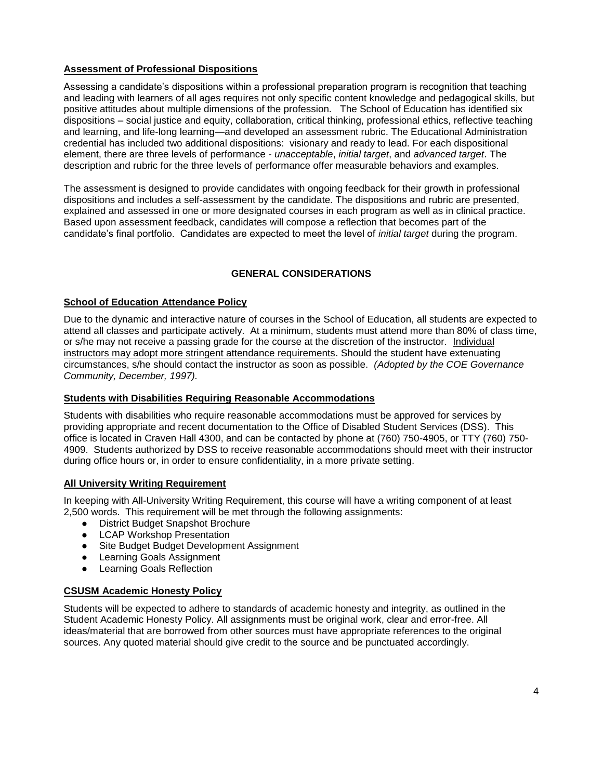# **Assessment of Professional Dispositions**

Assessing a candidate's dispositions within a professional preparation program is recognition that teaching and leading with learners of all ages requires not only specific content knowledge and pedagogical skills, but positive attitudes about multiple dimensions of the profession. The School of Education has identified six dispositions – social justice and equity, collaboration, critical thinking, professional ethics, reflective teaching and learning, and life-long learning—and developed an assessment rubric. The Educational Administration credential has included two additional dispositions: visionary and ready to lead. For each dispositional element, there are three levels of performance - *unacceptable*, *initial target*, and *advanced target*. The description and rubric for the three levels of performance offer measurable behaviors and examples.

The assessment is designed to provide candidates with ongoing feedback for their growth in professional dispositions and includes a self-assessment by the candidate. The dispositions and rubric are presented, explained and assessed in one or more designated courses in each program as well as in clinical practice. Based upon assessment feedback, candidates will compose a reflection that becomes part of the candidate's final portfolio. Candidates are expected to meet the level of *initial target* during the program.

# **GENERAL CONSIDERATIONS**

### **School of Education Attendance Policy**

Due to the dynamic and interactive nature of courses in the School of Education, all students are expected to attend all classes and participate actively. At a minimum, students must attend more than 80% of class time, or s/he may not receive a passing grade for the course at the discretion of the instructor. Individual instructors may adopt more stringent attendance requirements. Should the student have extenuating circumstances, s/he should contact the instructor as soon as possible. *(Adopted by the COE Governance Community, December, 1997).*

### **Students with Disabilities Requiring Reasonable Accommodations**

Students with disabilities who require reasonable accommodations must be approved for services by providing appropriate and recent documentation to the Office of Disabled Student Services (DSS). This office is located in Craven Hall 4300, and can be contacted by phone at (760) 750-4905, or TTY (760) 750- 4909. Students authorized by DSS to receive reasonable accommodations should meet with their instructor during office hours or, in order to ensure confidentiality, in a more private setting.

### **All University Writing Requirement**

In keeping with All-University Writing Requirement, this course will have a writing component of at least 2,500 words. This requirement will be met through the following assignments:

- District Budget Snapshot Brochure
- LCAP Workshop Presentation
- Site Budget Budget Development Assignment
- Learning Goals Assignment
- Learning Goals Reflection

### **CSUSM Academic Honesty Policy**

Students will be expected to adhere to standards of academic honesty and integrity, as outlined in the Student Academic Honesty Policy. All assignments must be original work, clear and error-free. All ideas/material that are borrowed from other sources must have appropriate references to the original sources. Any quoted material should give credit to the source and be punctuated accordingly.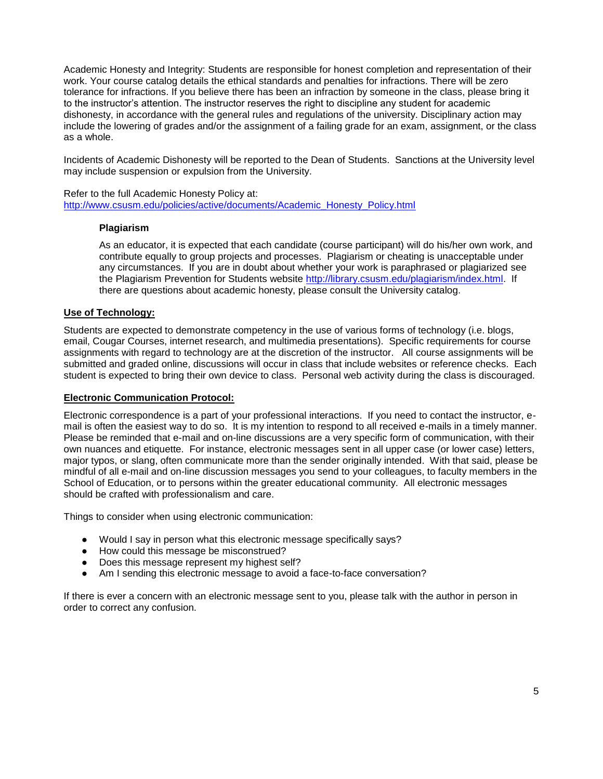Academic Honesty and Integrity: Students are responsible for honest completion and representation of their work. Your course catalog details the ethical standards and penalties for infractions. There will be zero tolerance for infractions. If you believe there has been an infraction by someone in the class, please bring it to the instructor's attention. The instructor reserves the right to discipline any student for academic dishonesty, in accordance with the general rules and regulations of the university. Disciplinary action may include the lowering of grades and/or the assignment of a failing grade for an exam, assignment, or the class as a whole.

Incidents of Academic Dishonesty will be reported to the Dean of Students. Sanctions at the University level may include suspension or expulsion from the University.

Refer to the full Academic Honesty Policy at: [http://www.csusm.edu/policies/active/documents/Academic\\_Honesty\\_Policy.html](http://www.csusm.edu/policies/active/documents/Academic_Honesty_Policy.html)

### **Plagiarism**

As an educator, it is expected that each candidate (course participant) will do his/her own work, and contribute equally to group projects and processes. Plagiarism or cheating is unacceptable under any circumstances. If you are in doubt about whether your work is paraphrased or plagiarized see the Plagiarism Prevention for Students website [http://library.csusm.edu/plagiarism/index.html.](http://library.csusm.edu/plagiarism/index.html) If there are questions about academic honesty, please consult the University catalog.

### **Use of Technology:**

Students are expected to demonstrate competency in the use of various forms of technology (i.e. blogs, email, Cougar Courses, internet research, and multimedia presentations). Specific requirements for course assignments with regard to technology are at the discretion of the instructor. All course assignments will be submitted and graded online, discussions will occur in class that include websites or reference checks. Each student is expected to bring their own device to class. Personal web activity during the class is discouraged.

### **Electronic Communication Protocol:**

Electronic correspondence is a part of your professional interactions. If you need to contact the instructor, email is often the easiest way to do so. It is my intention to respond to all received e-mails in a timely manner. Please be reminded that e-mail and on-line discussions are a very specific form of communication, with their own nuances and etiquette. For instance, electronic messages sent in all upper case (or lower case) letters, major typos, or slang, often communicate more than the sender originally intended. With that said, please be mindful of all e-mail and on-line discussion messages you send to your colleagues, to faculty members in the School of Education, or to persons within the greater educational community. All electronic messages should be crafted with professionalism and care.

Things to consider when using electronic communication:

- Would I say in person what this electronic message specifically says?
- How could this message be misconstrued?
- Does this message represent my highest self?
- Am I sending this electronic message to avoid a face-to-face conversation?

If there is ever a concern with an electronic message sent to you, please talk with the author in person in order to correct any confusion.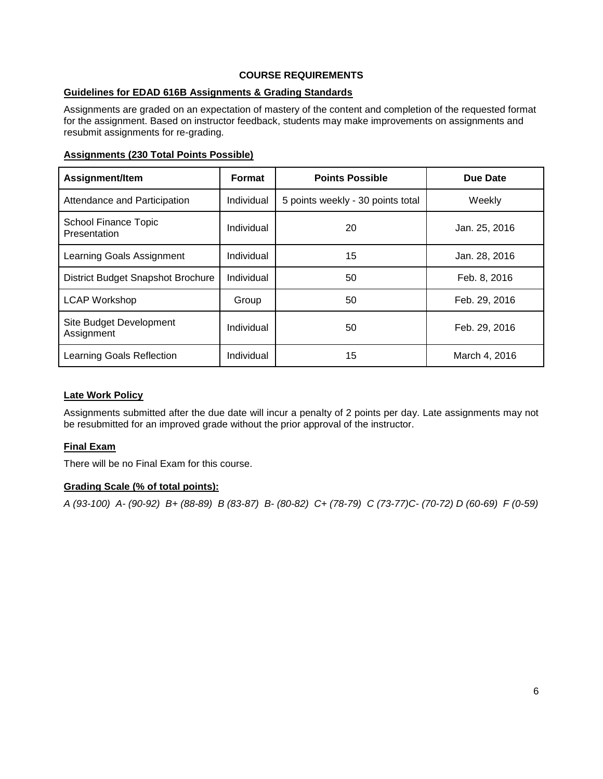# **COURSE REQUIREMENTS**

# **Guidelines for EDAD 616B Assignments & Grading Standards**

Assignments are graded on an expectation of mastery of the content and completion of the requested format for the assignment. Based on instructor feedback, students may make improvements on assignments and resubmit assignments for re-grading.

### **Assignments (230 Total Points Possible)**

| Assignment/Item                       | <b>Format</b> | <b>Points Possible</b>            | <b>Due Date</b> |
|---------------------------------------|---------------|-----------------------------------|-----------------|
| Attendance and Participation          | Individual    | 5 points weekly - 30 points total | Weekly          |
| School Finance Topic<br>Presentation  | Individual    | 20                                | Jan. 25, 2016   |
| Learning Goals Assignment             | Individual    | 15                                | Jan. 28, 2016   |
| District Budget Snapshot Brochure     | Individual    | 50                                | Feb. 8, 2016    |
| <b>LCAP Workshop</b>                  | Group         | 50                                | Feb. 29, 2016   |
| Site Budget Development<br>Assignment | Individual    | 50                                | Feb. 29, 2016   |
| Learning Goals Reflection             | Individual    | 15                                | March 4, 2016   |

# **Late Work Policy**

Assignments submitted after the due date will incur a penalty of 2 points per day. Late assignments may not be resubmitted for an improved grade without the prior approval of the instructor.

# **Final Exam**

There will be no Final Exam for this course.

# **Grading Scale (% of total points):**

*A (93-100) A- (90-92) B+ (88-89) B (83-87) B- (80-82) C+ (78-79) C (73-77)C- (70-72) D (60-69) F (0-59)*